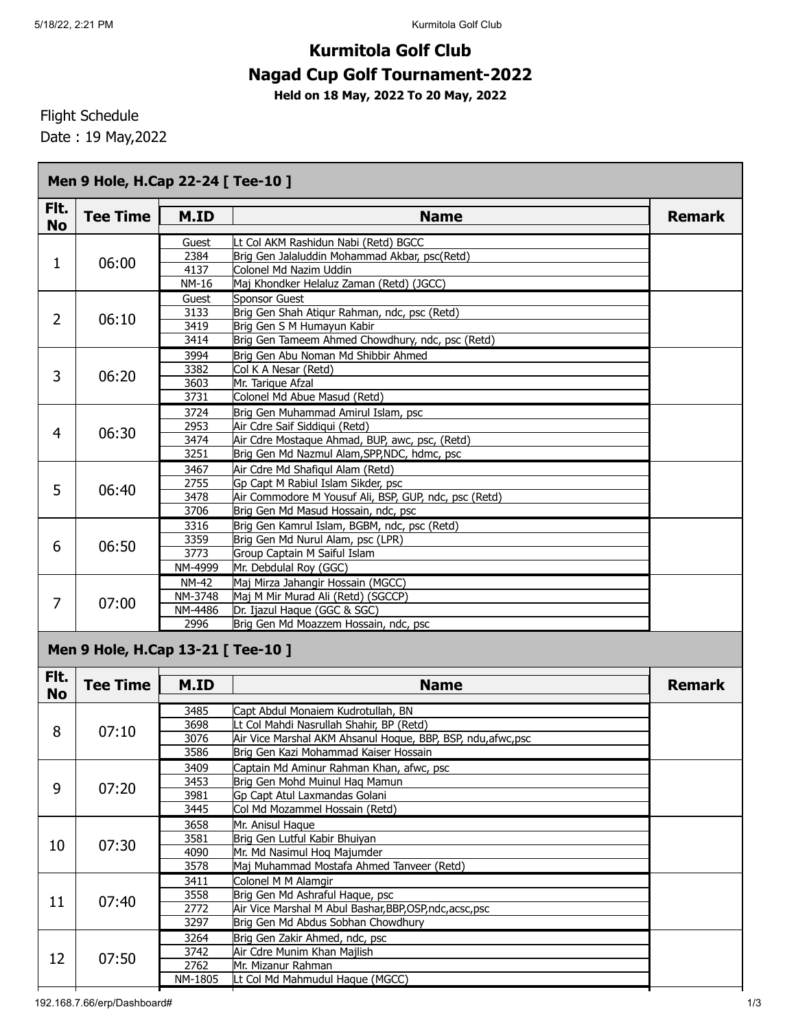## **Kurmitola Golf Club Nagad Cup Golf Tournament-2022**

**Held on 18 May, 2022 To 20 May, 2022**

Flight Schedule

Date : 19 May,2022

| Fit.<br><b>No</b> | <b>Tee Time</b>                    | M.ID               | <b>Name</b>                                                                                              | <b>Remark</b> |
|-------------------|------------------------------------|--------------------|----------------------------------------------------------------------------------------------------------|---------------|
|                   |                                    | Guest              | Lt Col AKM Rashidun Nabi (Retd) BGCC                                                                     |               |
|                   |                                    | 2384               | Brig Gen Jalaluddin Mohammad Akbar, psc(Retd)                                                            |               |
| 1                 | 06:00                              | 4137               | Colonel Md Nazim Uddin                                                                                   |               |
|                   |                                    | <b>NM-16</b>       | Maj Khondker Helaluz Zaman (Retd) (JGCC)                                                                 |               |
|                   |                                    | Guest              | <b>Sponsor Guest</b>                                                                                     |               |
| $\overline{2}$    | 06:10                              | 3133               | Brig Gen Shah Atiqur Rahman, ndc, psc (Retd)                                                             |               |
|                   |                                    | 3419               | Brig Gen S M Humayun Kabir                                                                               |               |
|                   |                                    | 3414               | Brig Gen Tameem Ahmed Chowdhury, ndc, psc (Retd)                                                         |               |
|                   |                                    | 3994               | Brig Gen Abu Noman Md Shibbir Ahmed                                                                      |               |
| 3                 |                                    | 3382               | Col K A Nesar (Retd)                                                                                     |               |
|                   | 06:20                              | 3603               | Mr. Tarique Afzal                                                                                        |               |
|                   |                                    | 3731               | Colonel Md Abue Masud (Retd)                                                                             |               |
|                   |                                    | 3724               | Brig Gen Muhammad Amirul Islam, psc                                                                      |               |
|                   |                                    | 2953               | Air Cdre Saif Siddiqui (Retd)                                                                            |               |
| 4                 | 06:30                              | 3474               | Air Cdre Mostaque Ahmad, BUP, awc, psc, (Retd)                                                           |               |
|                   |                                    | 3251               | Brig Gen Md Nazmul Alam, SPP, NDC, hdmc, psc                                                             |               |
|                   |                                    | 3467               | Air Cdre Md Shafiqul Alam (Retd)                                                                         |               |
|                   |                                    | 2755               | Gp Capt M Rabiul Islam Sikder, psc                                                                       |               |
| 5                 | 06:40                              | 3478               | Air Commodore M Yousuf Ali, BSP, GUP, ndc, psc (Retd)                                                    |               |
|                   |                                    | 3706               | Brig Gen Md Masud Hossain, ndc, psc                                                                      |               |
|                   |                                    | 3316               | Brig Gen Kamrul Islam, BGBM, ndc, psc (Retd)                                                             |               |
|                   | 06:50                              | 3359               | Brig Gen Md Nurul Alam, psc (LPR)                                                                        |               |
| 6                 |                                    | 3773               | Group Captain M Saiful Islam                                                                             |               |
|                   |                                    | NM-4999            | Mr. Debdulal Roy (GGC)                                                                                   |               |
|                   |                                    |                    |                                                                                                          |               |
|                   |                                    | <b>NM-42</b>       | Maj Mirza Jahangir Hossain (MGCC)                                                                        |               |
| 7                 | 07:00                              | NM-3748<br>NM-4486 | Maj M Mir Murad Ali (Retd) (SGCCP)<br>Dr. Ijazul Haque (GGC & SGC)                                       |               |
|                   |                                    | 2996               | Brig Gen Md Moazzem Hossain, ndc, psc                                                                    |               |
|                   | Men 9 Hole, H.Cap 13-21 [ Tee-10 ] |                    |                                                                                                          |               |
| Fit.              |                                    |                    |                                                                                                          |               |
|                   | <b>Tee Time</b>                    | M.ID               | <b>Name</b>                                                                                              | <b>Remark</b> |
| <b>No</b>         |                                    |                    |                                                                                                          |               |
|                   |                                    |                    |                                                                                                          |               |
|                   |                                    | 3485<br>3698       | Capt Abdul Monaiem Kudrotullah, BN                                                                       |               |
|                   | 07:10                              | 3076               | Lt Col Mahdi Nasrullah Shahir, BP (Retd)<br>Air Vice Marshal AKM Ahsanul Hoque, BBP, BSP, ndu, afwc, psc |               |
|                   |                                    | 3586               |                                                                                                          |               |
|                   |                                    |                    | Brig Gen Kazi Mohammad Kaiser Hossain                                                                    |               |
|                   |                                    | 3409               | Captain Md Aminur Rahman Khan, afwc, psc                                                                 |               |
|                   | 07:20                              | 3453               | Brig Gen Mohd Muinul Haq Mamun                                                                           |               |
|                   |                                    | 3981               | Gp Capt Atul Laxmandas Golani                                                                            |               |
|                   |                                    | 3445               | Col Md Mozammel Hossain (Retd)                                                                           |               |
| 8<br>9            |                                    | 3658               | Mr. Anisul Haque                                                                                         |               |
|                   | 07:30                              | 3581               | Brig Gen Lutful Kabir Bhuiyan                                                                            |               |
|                   |                                    | 4090               | Mr. Md Nasimul Hoq Majumder                                                                              |               |
|                   |                                    | 3578               | Maj Muhammad Mostafa Ahmed Tanveer (Retd)                                                                |               |
| 10                |                                    | 3411               | Colonel M M Alamgir                                                                                      |               |
|                   | 07:40                              | 3558               | Brig Gen Md Ashraful Haque, psc                                                                          |               |
|                   |                                    | 2772               | Air Vice Marshal M Abul Bashar, BBP, OSP, ndc, acsc, psc                                                 |               |
|                   |                                    | 3297               | Brig Gen Md Abdus Sobhan Chowdhury                                                                       |               |
|                   |                                    | 3264               | Brig Gen Zakir Ahmed, ndc, psc                                                                           |               |
|                   |                                    | 3742               | Air Cdre Munim Khan Majlish                                                                              |               |
| 11<br>12          | 07:50                              | 2762<br>NM-1805    | Mr. Mizanur Rahman<br>Lt Col Md Mahmudul Haque (MGCC)                                                    |               |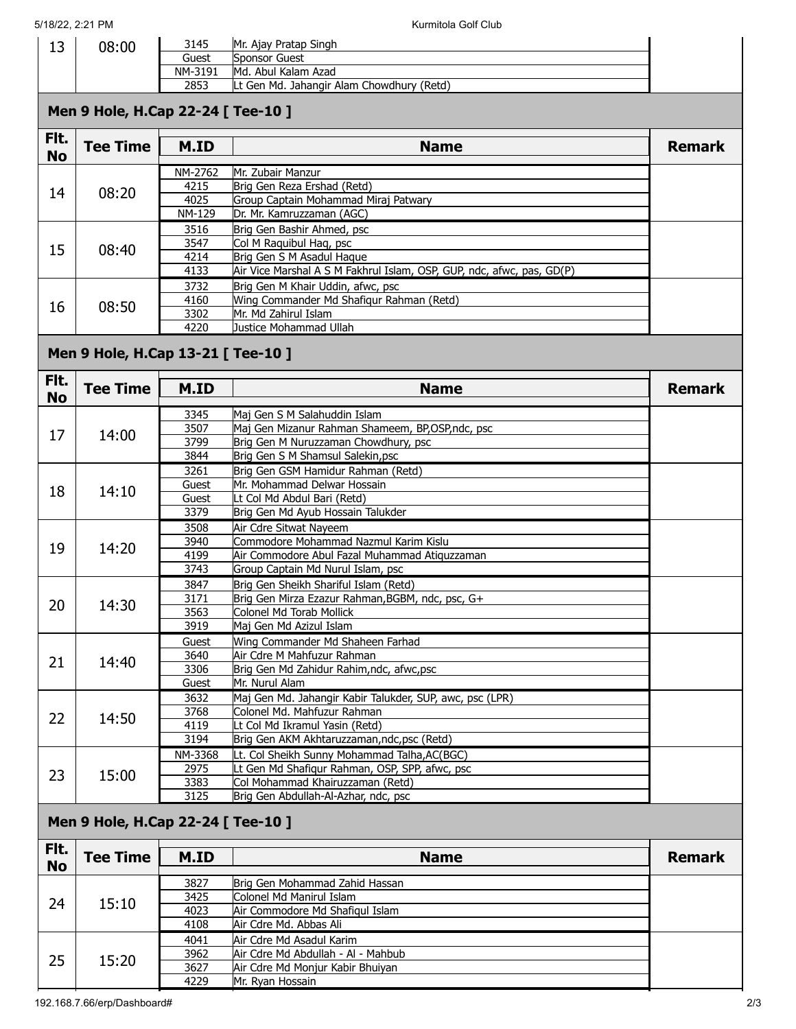| 13                | 08:00                              | 3145           | Mr. Ajay Pratap Singh                                                              |               |  |  |  |  |  |
|-------------------|------------------------------------|----------------|------------------------------------------------------------------------------------|---------------|--|--|--|--|--|
|                   |                                    | Guest          | <b>Sponsor Guest</b>                                                               |               |  |  |  |  |  |
|                   |                                    | NM-3191        | Md. Abul Kalam Azad                                                                |               |  |  |  |  |  |
|                   |                                    | 2853           | Lt Gen Md. Jahangir Alam Chowdhury (Retd)                                          |               |  |  |  |  |  |
|                   | Men 9 Hole, H.Cap 22-24 [ Tee-10 ] |                |                                                                                    |               |  |  |  |  |  |
| Flt.<br><b>No</b> | <b>Tee Time</b>                    | M.ID           | <b>Name</b>                                                                        | <b>Remark</b> |  |  |  |  |  |
|                   |                                    | NM-2762        | Mr. Zubair Manzur                                                                  |               |  |  |  |  |  |
| 14                | 08:20                              | 4215           | Brig Gen Reza Ershad (Retd)                                                        |               |  |  |  |  |  |
|                   |                                    | 4025<br>NM-129 | Group Captain Mohammad Miraj Patwary<br>Dr. Mr. Kamruzzaman (AGC)                  |               |  |  |  |  |  |
|                   |                                    | 3516           | Brig Gen Bashir Ahmed, psc                                                         |               |  |  |  |  |  |
|                   |                                    | 3547           | Col M Raquibul Haq, psc                                                            |               |  |  |  |  |  |
| 15                | 08:40                              | 4214           | Brig Gen S M Asadul Haque                                                          |               |  |  |  |  |  |
|                   |                                    | 4133           | Air Vice Marshal A S M Fakhrul Islam, OSP, GUP, ndc, afwc, pas, GD(P)              |               |  |  |  |  |  |
|                   |                                    | 3732           | Brig Gen M Khair Uddin, afwc, psc                                                  |               |  |  |  |  |  |
| 16                | 08:50                              | 4160           | Wing Commander Md Shafiqur Rahman (Retd)                                           |               |  |  |  |  |  |
|                   |                                    | 3302<br>4220   | Mr. Md Zahirul Islam<br>Justice Mohammad Ullah                                     |               |  |  |  |  |  |
|                   |                                    |                |                                                                                    |               |  |  |  |  |  |
|                   | Men 9 Hole, H.Cap 13-21 [ Tee-10 ] |                |                                                                                    |               |  |  |  |  |  |
| Flt.<br><b>No</b> | <b>Tee Time</b>                    | M.ID           | <b>Name</b>                                                                        | <b>Remark</b> |  |  |  |  |  |
|                   |                                    | 3345           | Maj Gen S M Salahuddin Islam                                                       |               |  |  |  |  |  |
| 17                | 14:00                              | 3507           | Maj Gen Mizanur Rahman Shameem, BP,OSP,ndc, psc                                    |               |  |  |  |  |  |
|                   |                                    | 3799           | Brig Gen M Nuruzzaman Chowdhury, psc                                               |               |  |  |  |  |  |
|                   |                                    | 3844           | Brig Gen S M Shamsul Salekin, psc<br>Brig Gen GSM Hamidur Rahman (Retd)            |               |  |  |  |  |  |
|                   |                                    | 3261<br>Guest  | Mr. Mohammad Delwar Hossain                                                        |               |  |  |  |  |  |
| 18                | 14:10                              | Guest          | Lt Col Md Abdul Bari (Retd)                                                        |               |  |  |  |  |  |
|                   |                                    | 3379           | Brig Gen Md Ayub Hossain Talukder                                                  |               |  |  |  |  |  |
|                   |                                    | 3508           | Air Cdre Sitwat Naveem                                                             |               |  |  |  |  |  |
| 19                | 14:20                              | 3940           | Commodore Mohammad Nazmul Karim Kislu                                              |               |  |  |  |  |  |
|                   |                                    | 4199<br>3743   | Air Commodore Abul Fazal Muhammad Atiquzzaman<br>Group Captain Md Nurul Islam, psc |               |  |  |  |  |  |
|                   |                                    | 3847           | Brig Gen Sheikh Shariful Islam (Retd)                                              |               |  |  |  |  |  |
|                   |                                    | 3171           | Brig Gen Mirza Ezazur Rahman, BGBM, ndc, psc, G+                                   |               |  |  |  |  |  |
| 20                | 14:30                              | 3563           | Colonel Md Torab Mollick                                                           |               |  |  |  |  |  |
|                   |                                    | 3919           | Maj Gen Md Azizul Islam                                                            |               |  |  |  |  |  |
|                   |                                    | Guest          | Wing Commander Md Shaheen Farhad                                                   |               |  |  |  |  |  |
| 21                | 14:40                              | 3640           | Air Cdre M Mahfuzur Rahman                                                         |               |  |  |  |  |  |
|                   |                                    | 3306           | Brig Gen Md Zahidur Rahim, ndc, afwc, psc<br>Mr. Nurul Alam                        |               |  |  |  |  |  |
|                   |                                    | Guest<br>3632  | Maj Gen Md. Jahangir Kabir Talukder, SUP, awc, psc (LPR)                           |               |  |  |  |  |  |
|                   | 14:50                              | 3768           | Colonel Md. Mahfuzur Rahman                                                        |               |  |  |  |  |  |
| 22                |                                    | 4119           | Lt Col Md Ikramul Yasin (Retd)                                                     |               |  |  |  |  |  |
|                   |                                    | 3194           | Brig Gen AKM Akhtaruzzaman, ndc, psc (Retd)                                        |               |  |  |  |  |  |
|                   | 15:00                              | NM-3368        | Lt. Col Sheikh Sunny Mohammad Talha, AC(BGC)                                       |               |  |  |  |  |  |
| 23                |                                    | 2975           | Lt Gen Md Shafiqur Rahman, OSP, SPP, afwc, psc                                     |               |  |  |  |  |  |
|                   |                                    | 3383<br>3125   | Col Mohammad Khairuzzaman (Retd)<br>Brig Gen Abdullah-Al-Azhar, ndc, psc           |               |  |  |  |  |  |
|                   | Men 9 Hole, H.Cap 22-24 [ Tee-10 ] |                |                                                                                    |               |  |  |  |  |  |
| Flt.              |                                    |                |                                                                                    |               |  |  |  |  |  |
| <b>No</b>         | <b>Tee Time</b>                    | M.ID           | <b>Name</b>                                                                        | <b>Remark</b> |  |  |  |  |  |
|                   |                                    | 3827           | Brig Gen Mohammad Zahid Hassan                                                     |               |  |  |  |  |  |
| 24                | 15:10                              | 3425           | Colonel Md Manirul Islam                                                           |               |  |  |  |  |  |
|                   |                                    | 4023<br>4108   | Air Commodore Md Shafiqul Islam<br>Air Cdre Md. Abbas Ali                          |               |  |  |  |  |  |
|                   |                                    | 4041           | Air Cdre Md Asadul Karim                                                           |               |  |  |  |  |  |
|                   |                                    | 3962           | Air Cdre Md Abdullah - Al - Mahbub                                                 |               |  |  |  |  |  |
| 25                | 15:20                              | 3627           | Air Cdre Md Monjur Kabir Bhuiyan                                                   |               |  |  |  |  |  |

Mr. Ryan Hossain